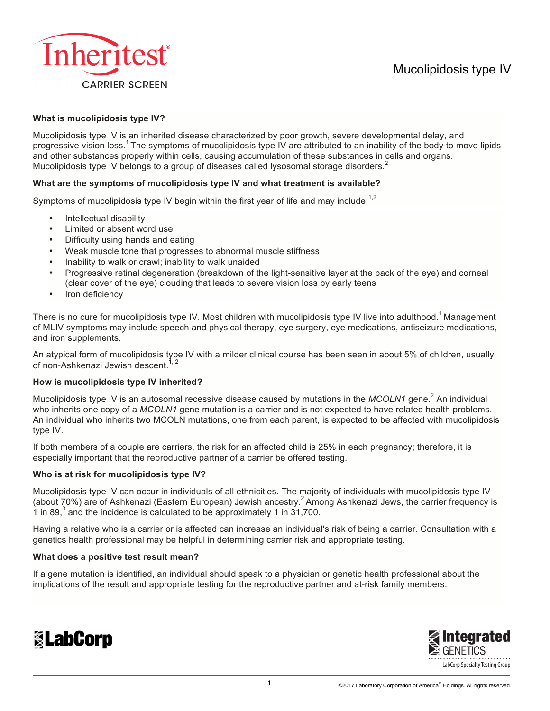

# **What is mucolipidosis type IV?**

Mucolipidosis type IV is an inherited disease characterized by poor growth, severe developmental delay, and progressive vision loss.<sup>1</sup> The symptoms of mucolipidosis type IV are attributed to an inability of the body to move lipids and other substances properly within cells, causing accumulation of these substances in cells and organs. Mucolipidosis type IV belongs to a group of diseases called lysosomal storage disorders.

# **What are the symptoms of mucolipidosis type IV and what treatment is available?**

Symptoms of mucolipidosis type IV begin within the first year of life and may include:<sup>1,2</sup>

- Intellectual disability
- Limited or absent word use
- Difficulty using hands and eating
- Weak muscle tone that progresses to abnormal muscle stiffness
- Inability to walk or crawl; inability to walk unaided
- Progressive retinal degeneration (breakdown of the light-sensitive layer at the back of the eye) and corneal (clear cover of the eye) clouding that leads to severe vision loss by early teens
- Iron deficiency

There is no cure for mucolipidosis type IV. Most children with mucolipidosis type IV live into adulthood.<sup>1</sup> Management of MLIV symptoms may include speech and physical therapy, eye surgery, eye medications, antiseizure medications, and iron supplements.

An atypical form of mucolipidosis type IV with a milder clinical course has been seen in about 5% of children, usually of non-Ashkenazi Jewish descent.

## **How is mucolipidosis type IV inherited?**

Mucolipidosis type IV is an autosomal recessive disease caused by mutations in the *MCOLN1* gene.<sup>2</sup> An individual who inherits one copy of a *MCOLN1* gene mutation is a carrier and is not expected to have related health problems. An individual who inherits two MCOLN mutations, one from each parent, is expected to be affected with mucolipidosis type IV.

If both members of a couple are carriers, the risk for an affected child is 25% in each pregnancy; therefore, it is especially important that the reproductive partner of a carrier be offered testing.

## **Who is at risk for mucolipidosis type IV?**

Mucolipidosis type IV can occur in individuals of all ethnicities. The majority of individuals with mucolipidosis type IV (about 70%) are of Ashkenazi (Eastern European) Jewish ancestry.<sup>2</sup> Among Ashkenazi Jews, the carrier frequency is 1 in 89, $3$  and the incidence is calculated to be approximately 1 in 31,700.

Having a relative who is a carrier or is affected can increase an individual's risk of being a carrier. Consultation with a genetics health professional may be helpful in determining carrier risk and appropriate testing.

#### **What does a positive test result mean?**

If a gene mutation is identified, an individual should speak to a physician or genetic health professional about the implications of the result and appropriate testing for the reproductive partner and at-risk family members.